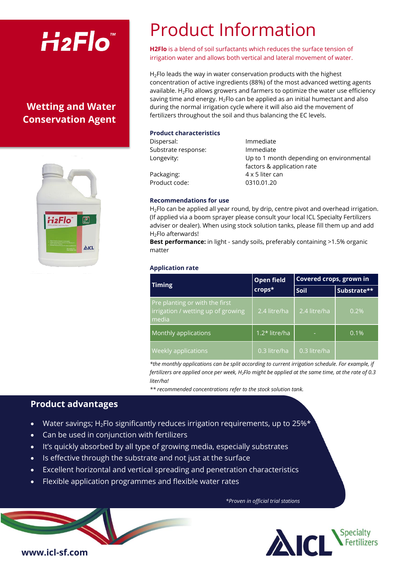# $H_2Flo^*$

## **Wetting and Water Conservation Agent**



## Product Information

**H2Flo** is a blend of soil surfactants which reduces the surface tension of irrigation water and allows both vertical and lateral movement of water.

 $H_2$ Flo leads the way in water conservation products with the highest concentration of active ingredients (88%) of the most advanced wetting agents available.  $H_2$ Flo allows growers and farmers to optimize the water use efficiency saving time and energy.  $H_2F$ lo can be applied as an initial humectant and also during the normal irrigation cycle where it will also aid the movement of fertilizers throughout the soil and thus balancing the EC levels.

#### **Product characteristics**

| Dispersal:          | Immediate                                |
|---------------------|------------------------------------------|
| Substrate response: | Immediate                                |
| Longevity:          | Up to 1 month depending on environmental |
|                     | factors & application rate               |
| Packaging:          | 4 x 5 liter can                          |
| Product code:       | 0310.01.20                               |
|                     |                                          |
|                     |                                          |

#### **Recommendations for use**

 $H_2$ Flo can be applied all year round, by drip, centre pivot and overhead irrigation. (If applied via a boom sprayer please consult your local ICL Specialty Fertilizers adviser or dealer). When using stock solution tanks, please fill them up and add H<sub>2</sub>Flo afterwards!

**Best performance:** in light - sandy soils, preferably containing >1.5% organic matter

### **Application rate**

| <b>Timing</b>                                                                 | Open field      | Covered crops, grown in |             |
|-------------------------------------------------------------------------------|-----------------|-------------------------|-------------|
|                                                                               | crops*          | <b>Soil</b>             | Substrate** |
| Pre planting or with the first<br>irrigation / wetting up of growing<br>media | 2.4 litre/ha    | 2.4 litre/ha            | 0.2%        |
| Monthly applications                                                          | $1.2*$ litre/ha |                         | 0.1%        |
| <b>Weekly applications</b>                                                    | 0.3 litre/ha    | 0.3 litre/ha            |             |

*\*the monthly applications can be split according to current irrigation schedule. For example, if fertilizers are applied once per week, H2Flo might be applied at the same time, at the rate of 0.3 liter/ha!*

*\*\* recommended concentrations refer to the stock solution tank.*

## **Product advantages**

- Water savings;  $H_2$ Flo significantly reduces irrigation requirements, up to 25% $*$
- Can be used in conjunction with fertilizers
- It's quickly absorbed by all type of growing media, especially substrates
- Is effective through the substrate and not just at the surface
- Excellent horizontal and vertical spreading and penetration characteristics
- Flexible application programmes and flexible water rates

*\*Proven in official trial stations*



**www.icl-sf.com**